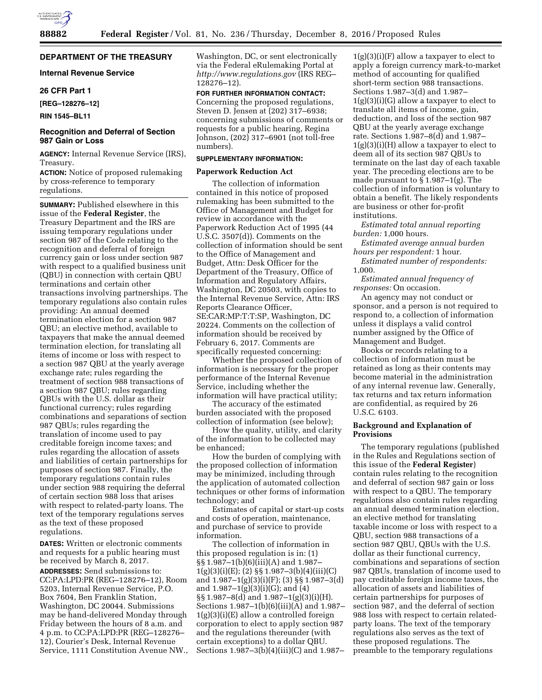## **DEPARTMENT OF THE TREASURY**

## **Internal Revenue Service**

### **26 CFR Part 1**

**[REG–128276–12]** 

**RIN 1545–BL11** 

## **Recognition and Deferral of Section 987 Gain or Loss**

**AGENCY:** Internal Revenue Service (IRS), Treasury.

**ACTION:** Notice of proposed rulemaking by cross-reference to temporary regulations.

**SUMMARY:** Published elsewhere in this issue of the **Federal Register**, the Treasury Department and the IRS are issuing temporary regulations under section 987 of the Code relating to the recognition and deferral of foreign currency gain or loss under section 987 with respect to a qualified business unit (QBU) in connection with certain QBU terminations and certain other transactions involving partnerships. The temporary regulations also contain rules providing: An annual deemed termination election for a section 987 QBU; an elective method, available to taxpayers that make the annual deemed termination election, for translating all items of income or loss with respect to a section 987 QBU at the yearly average exchange rate; rules regarding the treatment of section 988 transactions of a section 987 QBU; rules regarding QBUs with the U.S. dollar as their functional currency; rules regarding combinations and separations of section 987 QBUs; rules regarding the translation of income used to pay creditable foreign income taxes; and rules regarding the allocation of assets and liabilities of certain partnerships for purposes of section 987. Finally, the temporary regulations contain rules under section 988 requiring the deferral of certain section 988 loss that arises with respect to related-party loans. The text of the temporary regulations serves as the text of these proposed regulations.

**DATES:** Written or electronic comments and requests for a public hearing must be received by March 8, 2017.

**ADDRESSES:** Send submissions to: CC:PA:LPD:PR (REG–128276–12), Room 5203, Internal Revenue Service, P.O. Box 7604, Ben Franklin Station, Washington, DC 20044. Submissions may be hand-delivered Monday through Friday between the hours of 8 a.m. and 4 p.m. to CC:PA:LPD:PR (REG–128276– 12), Courier's Desk, Internal Revenue Service, 1111 Constitution Avenue NW., Washington, DC, or sent electronically via the Federal eRulemaking Portal at *<http://www.regulations.gov>* (IRS REG– 128276–12).

**FOR FURTHER INFORMATION CONTACT:**  Concerning the proposed regulations, Steven D. Jensen at (202) 317–6938; concerning submissions of comments or requests for a public hearing, Regina Johnson, (202) 317–6901 (not toll-free numbers).

### **SUPPLEMENTARY INFORMATION:**

#### **Paperwork Reduction Act**

The collection of information contained in this notice of proposed rulemaking has been submitted to the Office of Management and Budget for review in accordance with the Paperwork Reduction Act of 1995 (44 U.S.C. 3507(d)). Comments on the collection of information should be sent to the Office of Management and Budget, Attn: Desk Officer for the Department of the Treasury, Office of Information and Regulatory Affairs, Washington, DC 20503, with copies to the Internal Revenue Service, Attn: IRS Reports Clearance Officer, SE:CAR:MP:T:T:SP, Washington, DC 20224. Comments on the collection of information should be received by February 6, 2017. Comments are specifically requested concerning:

Whether the proposed collection of information is necessary for the proper performance of the Internal Revenue Service, including whether the information will have practical utility;

The accuracy of the estimated burden associated with the proposed collection of information (see below);

How the quality, utility, and clarity of the information to be collected may be enhanced;

How the burden of complying with the proposed collection of information may be minimized, including through the application of automated collection techniques or other forms of information technology; and

Estimates of capital or start-up costs and costs of operation, maintenance, and purchase of service to provide information.

The collection of information in this proposed regulation is in: (1) §§ 1.987–1(b)(6)(iii)(A) and 1.987–  $1(g)(3)(i)(E); (2)$  §§  $1.987-3(b)(4)(iii)(C)$ and 1.987–1(g)(3)(i)(F); (3) §§ 1.987–3(d) and  $1.987-1(g)(3)(i)(G)$ ; and  $(4)$ §§ 1.987–8(d) and 1.987–1(g)(3)(i)(H). Sections  $1.987-1(b)(6)(iii)(\overline{A})$  and  $1.987 1(g)(3)(i)(E)$  allow a controlled foreign corporation to elect to apply section 987 and the regulations thereunder (with certain exceptions) to a dollar QBU. Sections 1.987–3(b)(4)(iii)(C) and 1.987–

 $1(g)(3)(i)(F)$  allow a taxpayer to elect to apply a foreign currency mark-to-market method of accounting for qualified short-term section 988 transactions. Sections 1.987–3(d) and 1.987– 1(g)(3)(i)(G) allow a taxpayer to elect to translate all items of income, gain, deduction, and loss of the section 987 QBU at the yearly average exchange rate. Sections 1.987–8(d) and 1.987– 1(g)(3)(i)(H) allow a taxpayer to elect to deem all of its section 987 QBUs to terminate on the last day of each taxable year. The preceding elections are to be made pursuant to § 1.987–1(g). The collection of information is voluntary to obtain a benefit. The likely respondents are business or other for-profit institutions.

*Estimated total annual reporting burden:* 1,000 hours.

*Estimated average annual burden hours per respondent:* 1 hour.

*Estimated number of respondents:*  1,000.

*Estimated annual frequency of responses:* On occasion.

An agency may not conduct or sponsor, and a person is not required to respond to, a collection of information unless it displays a valid control number assigned by the Office of Management and Budget.

Books or records relating to a collection of information must be retained as long as their contents may become material in the administration of any internal revenue law. Generally, tax returns and tax return information are confidential, as required by 26 U.S.C. 6103.

## **Background and Explanation of Provisions**

The temporary regulations (published in the Rules and Regulations section of this issue of the **Federal Register**) contain rules relating to the recognition and deferral of section 987 gain or loss with respect to a QBU. The temporary regulations also contain rules regarding an annual deemed termination election, an elective method for translating taxable income or loss with respect to a QBU, section 988 transactions of a section 987 QBU, QBUs with the U.S. dollar as their functional currency, combinations and separations of section 987 QBUs, translation of income used to pay creditable foreign income taxes, the allocation of assets and liabilities of certain partnerships for purposes of section 987, and the deferral of section 988 loss with respect to certain relatedparty loans. The text of the temporary regulations also serves as the text of these proposed regulations. The preamble to the temporary regulations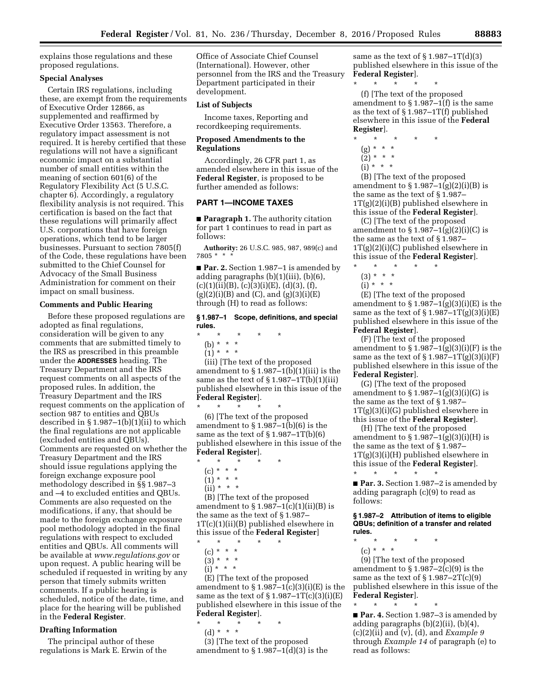explains those regulations and these proposed regulations.

### **Special Analyses**

Certain IRS regulations, including these, are exempt from the requirements of Executive Order 12866, as supplemented and reaffirmed by Executive Order 13563. Therefore, a regulatory impact assessment is not required. It is hereby certified that these regulations will not have a significant economic impact on a substantial number of small entities within the meaning of section 601(6) of the Regulatory Flexibility Act (5 U.S.C. chapter 6). Accordingly, a regulatory flexibility analysis is not required. This certification is based on the fact that these regulations will primarily affect U.S. corporations that have foreign operations, which tend to be larger businesses. Pursuant to section 7805(f) of the Code, these regulations have been submitted to the Chief Counsel for Advocacy of the Small Business Administration for comment on their impact on small business.

## **Comments and Public Hearing**

Before these proposed regulations are adopted as final regulations, consideration will be given to any comments that are submitted timely to the IRS as prescribed in this preamble under the **ADDRESSES** heading. The Treasury Department and the IRS request comments on all aspects of the proposed rules. In addition, the Treasury Department and the IRS request comments on the application of section 987 to entities and QBUs described in  $\S 1.987-1(b)(1)(ii)$  to which the final regulations are not applicable (excluded entities and QBUs). Comments are requested on whether the Treasury Department and the IRS should issue regulations applying the foreign exchange exposure pool methodology described in §§ 1.987–3 and –4 to excluded entities and QBUs. Comments are also requested on the modifications, if any, that should be made to the foreign exchange exposure pool methodology adopted in the final regulations with respect to excluded entities and QBUs. All comments will be available at *[www.regulations.gov](http://www.regulations.gov)* or upon request. A public hearing will be scheduled if requested in writing by any person that timely submits written comments. If a public hearing is scheduled, notice of the date, time, and place for the hearing will be published in the **Federal Register**.

### **Drafting Information**

The principal author of these regulations is Mark E. Erwin of the Office of Associate Chief Counsel (International). However, other personnel from the IRS and the Treasury Department participated in their development.

### **List of Subjects**

Income taxes, Reporting and recordkeeping requirements.

## **Proposed Amendments to the Regulations**

Accordingly, 26 CFR part 1, as amended elsewhere in this issue of the **Federal Register**, is proposed to be further amended as follows:

## **PART 1—INCOME TAXES**

■ **Paragraph 1.** The authority citation for part 1 continues to read in part as follows:

**Authority:** 26 U.S.C. 985, 987, 989(c) and 7805 \* \* \*

■ **Par. 2.** Section 1.987–1 is amended by adding paragraphs (b)(1)(iii), (b)(6),  $(c)(1)(ii)(B), (c)(3)(i)(E), (d)(3), (f),$  $(g)(2)(i)(B)$  and  $(C)$ , and  $(g)(3)(i)(E)$ through (H) to read as follows:

#### **§ 1.987–1 Scope, definitions, and special rules.**

- \* \* \* \* \*
- (b) \* \* \*
- $(1) * * * *$

(iii) [The text of the proposed amendment to  $\S 1.987-1(b)(1)(iii)$  is the same as the text of  $\S 1.987 - 1T(b)(1)(iii)$ published elsewhere in this issue of the **Federal Register**].

\* \* \* \* \* (6) [The text of the proposed amendment to  $\S 1.987-1(b)(6)$  is the same as the text of  $\S 1.987 - 1T(b)(6)$ published elsewhere in this issue of the **Federal Register**].

- \* \* \* \* \*
	- (c) \* \* \*
	- $(1) * * * *$  $(ii) * * * *$
	-

(B) [The text of the proposed amendment to  $\S 1.987-1(c)(1)(ii)(B)$  is the same as the text of § 1.987– 1T(c)(1)(ii)(B) published elsewhere in this issue of the **Federal Register**]

- \* \* \* \* \*
	- (c) \* \* \*  $(3) * * * *$
	- $(i) * * * *$
	-

(E) [The text of the proposed amendment to  $\S 1.987-1(c)(3)(i)(E)$  is the same as the text of  $\S 1.987 - 1T(c)(3)(i)(E)$ published elsewhere in this issue of the **Federal Register**].

- \* \* \* \* \*
	- (d) \* \* \*

(3) [The text of the proposed amendment to  $\S 1.987-1(d)(3)$  is the

same as the text of  $\S 1.987 - 1T(d)(3)$ published elsewhere in this issue of the **Federal Register**].

\* \* \* \* \* (f) [The text of the proposed amendment to § 1.987–1(f) is the same as the text of § 1.987–1T(f) published elsewhere in this issue of the **Federal Register**].

- \* \* \* \* \*
	- (g) \* \* \*
	- $(2) * * * *$
- $(i) * * * *$

(B) [The text of the proposed amendment to  $\S 1.987 - 1(g)(2)(i)(B)$  is the same as the text of § 1.987– 1T(g)(2)(i)(B) published elsewhere in this issue of the **Federal Register**].

(C) [The text of the proposed amendment to  $\S 1.987 - 1(g)(2)(i)(C)$  is the same as the text of § 1.987– 1T(g)(2)(i)(C) published elsewhere in this issue of the **Federal Register**].

- $\star$   $\qquad$   $\star$   $\qquad$   $\star$
- $(3) * * * *$
- $(i) * * * *$

(E) [The text of the proposed amendment to  $\S 1.987-1(g)(3)(i)(E)$  is the same as the text of  $\S 1.987 - 1T(g)(3)(i)(E)$ published elsewhere in this issue of the **Federal Register**].

(F) [The text of the proposed amendment to  $\S 1.987-1(g)(3)(i)(F)$  is the same as the text of  $\S 1.987 - 1T(g)(3)(i)(F)$ published elsewhere in this issue of the **Federal Register**].

(G) [The text of the proposed amendment to  $\S 1.987 - 1(g)(3)(i)(G)$  is the same as the text of § 1.987–  $1T(g)(3)(i)(G)$  published elsewhere in this issue of the **Federal Register**].

(H) [The text of the proposed amendment to  $\S 1.987 - 1(g)(3)(i)(H)$  is the same as the text of § 1.987– 1T(g)(3)(i)(H) published elsewhere in this issue of the **Federal Register**]. \* \* \* \* \*

■ **Par. 3.** Section 1.987–2 is amended by adding paragraph (c)(9) to read as follows:

#### **§ 1.987–2 Attribution of items to eligible QBUs; definition of a transfer and related rules.**

- \* \* \* \* \*
	- (c) \* \* \*

(9) [The text of the proposed amendment to  $\S 1.987 - 2(c)(9)$  is the same as the text of  $\S 1.987 - 2T(c)(9)$ published elsewhere in this issue of the **Federal Register**].

\* \* \* \* \* ■ **Par. 4.** Section 1.987–3 is amended by adding paragraphs (b)(2)(ii), (b)(4), (c)(2)(ii) and (v), (d), and *Example 9*  through *Example 14* of paragraph (e) to read as follows: